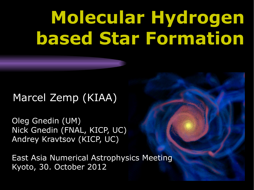# **Molecular Hydrogen based Star Formation**

#### Marcel Zemp (KIAA)

Oleg Gnedin (UM) Nick Gnedin (FNAL, KICP, UC) Andrey Kravtsov (KICP, UC)

East Asia Numerical Astrophysics Meeting Kyoto, 30. October 2012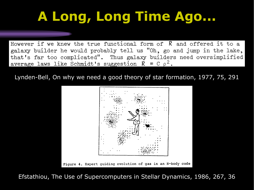# **A Long, Long Time Ago...**

However if we knew the true functional form of  $R$  and offered it to a galaxy builder he would probably tell us "Oh, go and jump in the lake, that's far too complicated". Thus galaxy builders need oversimplified average laws like Schmidt's suggestion  $R = C \rho^2$ .

Lynden-Bell, On why we need a good theory of star formation, 1977, 75, 291



Efstathiou, The Use of Supercomputers in Stellar Dynamics, 1986, 267, 36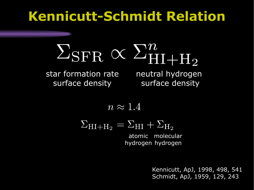### **Kennicutt-Schmidt Relation**



star formation rate surface density

neutral hydrogen surface density

$$
n\approx 1.4
$$

$$
\Sigma_{\rm HI+H_2} = \Sigma_{\rm HI} + \Sigma_{\rm H_2}
$$

atomic molecular hydrogen hydrogen

> Kennicutt, ApJ, 1998, 498, 541 Schmidt, ApJ, 1959, 129, 243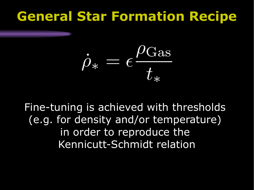### **General Star Formation Recipe**

$$
\dot{\rho}_{*} = \epsilon \frac{\rho_{\text{Gas}}}{t_{*}}
$$

Fine-tuning is achieved with thresholds (e.g. for density and/or temperature) in order to reproduce the Kennicutt-Schmidt relation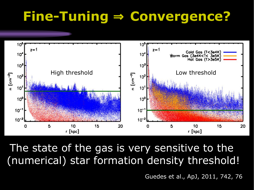### **Fine-Tuning** ⇒ **Convergence?**



The state of the gas is very sensitive to the (numerical) star formation density threshold!

Guedes et al., ApJ, 2011, 742, 76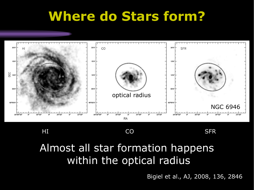### **Where do Stars form?**



HI CO SFR

### Almost all star formation happens within the optical radius

Bigiel et al., AJ, 2008, 136, 2846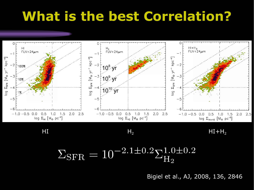### **What is the best Correlation?**



#### $H_1$   $H_2$   $H_1 + H_2$

$$
\Sigma_{\rm SFR} = 10^{-2.1 \pm 0.2} \Sigma_{\rm H_2}^{1.0 \pm 0.2}
$$

Bigiel et al., AJ, 2008, 136, 2846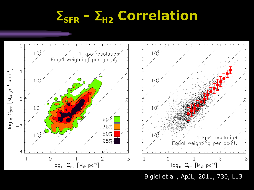# Σ**SFR -** Σ**H2 Correlation**



Bigiel et al., ApJL, 2011, 730, L13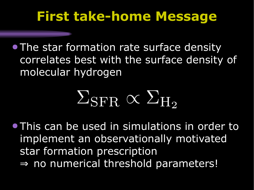### **First take-home Message**

**• The star formation rate surface density** correlates best with the surface density of molecular hydrogen

# $\Sigma_{\rm SFR} \propto \Sigma_{\rm H_2}$

● This can be used in simulations in order to implement an observationally motivated star formation prescription ⇒ no numerical threshold parameters!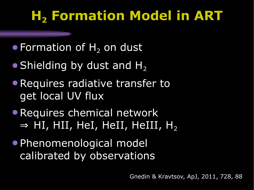# **H<sup>2</sup> Formation Model in ART**

- $\bullet$  Formation of  $H_2$  on dust
- $\bullet$  Shielding by dust and H<sub>2</sub>
- Requires radiative transfer to get local UV flux
- Requires chemical network  $\Rightarrow$  HI, HII, HeI, HeII, HeIII, H<sub>2</sub>
- Phenomenological model calibrated by observations

Gnedin & Kravtsov, ApJ, 2011, 728, 88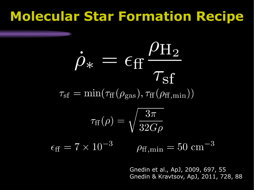### **Molecular Star Formation Recipe**

$$
\dot{\rho}_{*} = \epsilon_{\rm ff} \frac{\rho_{\rm H_2}}{\tau_{\rm sf}}
$$

$$
\tau_{\rm sf} = \min(\tau_{\rm ff}(\rho_{\rm gas}), \tau_{\rm ff}(\rho_{\rm ff,min}))
$$

$$
\tau_{\rm ff}(\rho) = \sqrt{\frac{3\pi}{32G\rho}}
$$

$$
\epsilon_{\rm ff} = 7 \times 10^{-3} \qquad \rho_{\rm ff,min} = 50 \text{ cm}^{-3}
$$

Gnedin et al., ApJ, 2009, 697, 55 Gnedin & Kravtsov, ApJ, 2011, 728, 88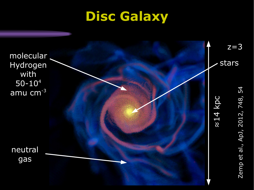### **Disc Galaxy**

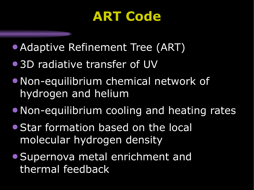### **ART Code**

- Adaptive Refinement Tree (ART)
- 3D radiative transfer of UV
- Non-equilibrium chemical network of hydrogen and helium
- Non-equilibrium cooling and heating rates
- Star formation based on the local molecular hydrogen density
- Supernova metal enrichment and thermal feedback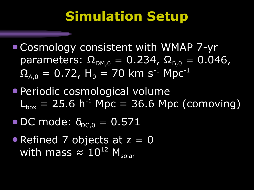### **Simulation Setup**

- Cosmology consistent with WMAP 7-yr parameters:  $\Omega_{DM,0} = 0.234$ ,  $\Omega_{B,0} = 0.046$ ,  $\Omega_{\Lambda,0} = 0.72$ , H<sub>0</sub> = 70 km s<sup>-1</sup> Mpc<sup>-1</sup>
- Periodic cosmological volume  $L_{\text{box}} = 25.6 \text{ h}^{-1} \text{ Mpc} = 36.6 \text{ Mpc}$  (comoving)
- $\bullet$  DC mode:  $\delta_{DC,0} = 0.571$
- Refined 7 objects at z = 0 with mass  $\approx 10^{12}$  M<sub>solar</sub>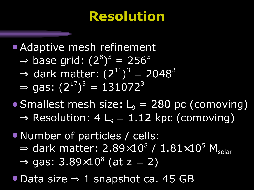### **Resolution**

• Adaptive mesh refinement  $\Rightarrow$  base grid:  $(2^8)^3 = 256^3$  $\Rightarrow$  dark matter:  $(2^{11})^3 = 2048^3$  $\Rightarrow$  gas:  $(2^{17})^3 = 131072^3$ 

- Smallest mesh size:  $L_9 = 280$  pc (comoving)  $\Rightarrow$  Resolution: 4 L<sub>9</sub> = 1.12 kpc (comoving)
- Number of particles / cells:  $\Rightarrow$  dark matter: 2.89 $\times 10^8$  / 1.81 $\times 10^5$  M $_{\rm solar}$  $\Rightarrow$  gas: 3.89 $\times10^8$  (at z = 2)
- Data size ⇒ 1 snapshot ca. 45 GB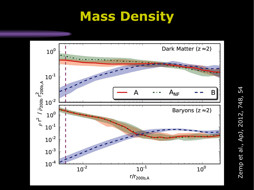### **Mass Density**



N e $\Xi$  $\mathbf{\Omega}$  $\vec{v}$ al., A  $\mathbf{\Omega}$ J, 2  $\mathbf \Omega$  $\overline{\phantom{0}}$ 2, 7 4 8, 5 4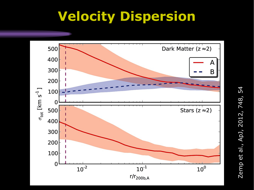### **Velocity Dispersion**